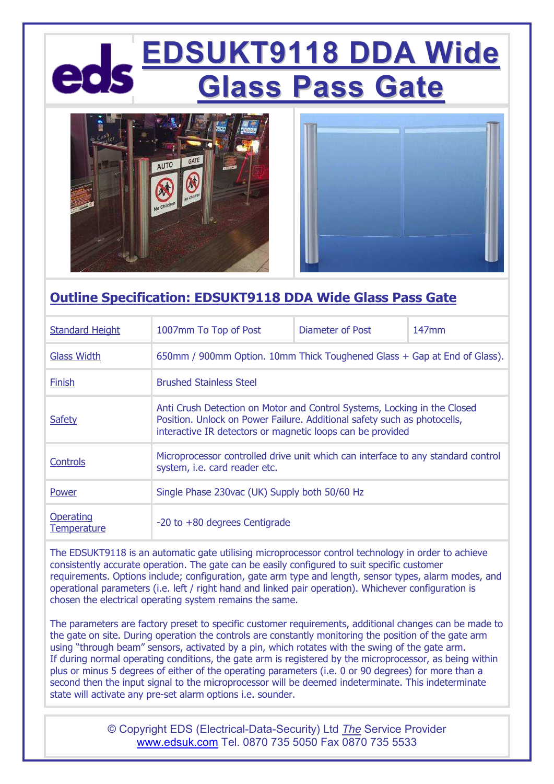## **EDSUKT9118 DDA Wide Glass Pass Gate**





#### **Outline Specification: EDSUKT9118 DDA Wide Glass Pass Gate**

| <b>Standard Height</b>   | 1007mm To Top of Post                                                                                                                                                                                              | Diameter of Post | $147$ mm |
|--------------------------|--------------------------------------------------------------------------------------------------------------------------------------------------------------------------------------------------------------------|------------------|----------|
| <b>Glass Width</b>       | 650mm / 900mm Option. 10mm Thick Toughened Glass + Gap at End of Glass).                                                                                                                                           |                  |          |
| Finish                   | <b>Brushed Stainless Steel</b>                                                                                                                                                                                     |                  |          |
| <b>Safety</b>            | Anti Crush Detection on Motor and Control Systems, Locking in the Closed<br>Position. Unlock on Power Failure. Additional safety such as photocells,<br>interactive IR detectors or magnetic loops can be provided |                  |          |
| <b>Controls</b>          | Microprocessor controlled drive unit which can interface to any standard control<br>system, i.e. card reader etc.                                                                                                  |                  |          |
| Power                    | Single Phase 230vac (UK) Supply both 50/60 Hz                                                                                                                                                                      |                  |          |
| Operating<br>Temperature | -20 to +80 degrees Centigrade                                                                                                                                                                                      |                  |          |

The EDSUKT9118 is an automatic gate utilising microprocessor control technology in order to achieve consistently accurate operation. The gate can be easily configured to suit specific customer requirements. Options include; configuration, gate arm type and length, sensor types, alarm modes, and operational parameters (i.e. left / right hand and linked pair operation). Whichever configuration is chosen the electrical operating system remains the same.

The parameters are factory preset to specific customer requirements, additional changes can be made to the gate on site. During operation the controls are constantly monitoring the position of the gate arm using "through beam" sensors, activated by a pin, which rotates with the swing of the gate arm. If during normal operating conditions, the gate arm is registered by the microprocessor, as being within plus or minus 5 degrees of either of the operating parameters (i.e. 0 or 90 degrees) for more than a second then the input signal to the microprocessor will be deemed indeterminate. This indeterminate state will activate any pre-set alarm options i.e. sounder.

> © Copyright EDS (Electrical-Data-Security) Ltd *The* Service Provider www.edsuk.com Tel. 0870 735 5050 Fax 0870 735 5533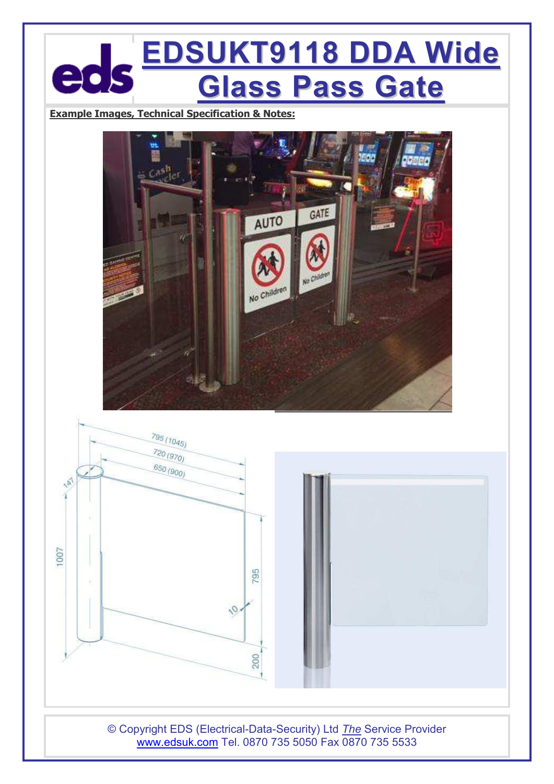## **EDSUKT9118 DDA Wide Glass Pass Gate**

**Example Images, Technical Specification & Notes:**





© Copyright EDS (Electrical-Data-Security) Ltd *The* Service Provider www.edsuk.com Tel. 0870 735 5050 Fax 0870 735 5533